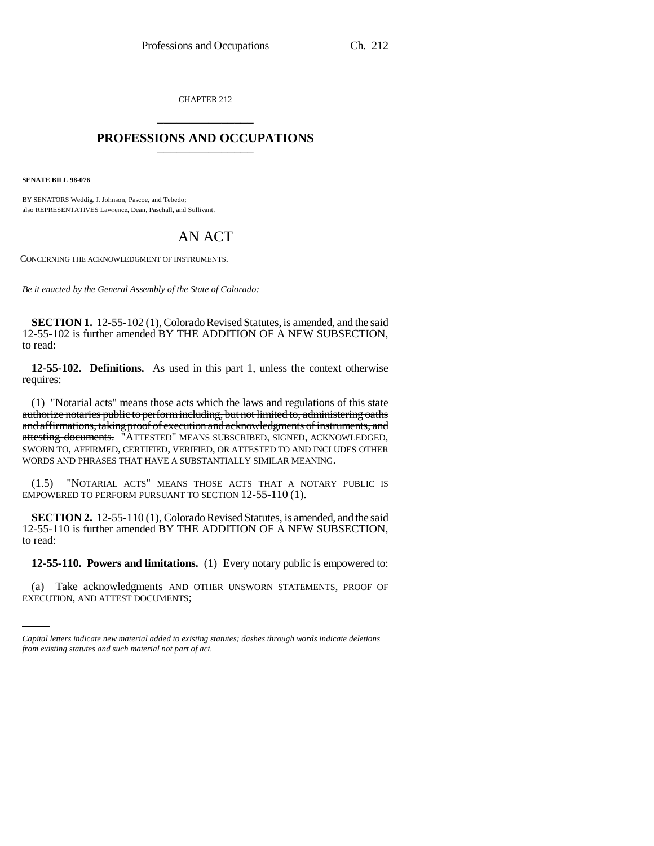CHAPTER 212 \_\_\_\_\_\_\_\_\_\_\_\_\_\_\_

## **PROFESSIONS AND OCCUPATIONS** \_\_\_\_\_\_\_\_\_\_\_\_\_\_\_

**SENATE BILL 98-076**

BY SENATORS Weddig, J. Johnson, Pascoe, and Tebedo; also REPRESENTATIVES Lawrence, Dean, Paschall, and Sullivant.

## AN ACT

CONCERNING THE ACKNOWLEDGMENT OF INSTRUMENTS.

*Be it enacted by the General Assembly of the State of Colorado:*

**SECTION 1.** 12-55-102 (1), Colorado Revised Statutes, is amended, and the said 12-55-102 is further amended BY THE ADDITION OF A NEW SUBSECTION, to read:

**12-55-102. Definitions.** As used in this part 1, unless the context otherwise requires:

(1) "Notarial acts" means those acts which the laws and regulations of this state authorize notaries public to perform including, but not limited to, administering oaths and affirmations, taking proof of execution and acknowledgments of instruments, and attesting documents. "ATTESTED" MEANS SUBSCRIBED, SIGNED, ACKNOWLEDGED, SWORN TO, AFFIRMED, CERTIFIED, VERIFIED, OR ATTESTED TO AND INCLUDES OTHER WORDS AND PHRASES THAT HAVE A SUBSTANTIALLY SIMILAR MEANING.

(1.5) "NOTARIAL ACTS" MEANS THOSE ACTS THAT A NOTARY PUBLIC IS EMPOWERED TO PERFORM PURSUANT TO SECTION 12-55-110 (1).

**SECTION 2.** 12-55-110 (1), Colorado Revised Statutes, is amended, and the said 12-55-110 is further amended BY THE ADDITION OF A NEW SUBSECTION, to read:

 **12-55-110. Powers and limitations.** (1) Every notary public is empowered to:

(a) Take acknowledgments AND OTHER UNSWORN STATEMENTS, PROOF OF EXECUTION, AND ATTEST DOCUMENTS;

*Capital letters indicate new material added to existing statutes; dashes through words indicate deletions from existing statutes and such material not part of act.*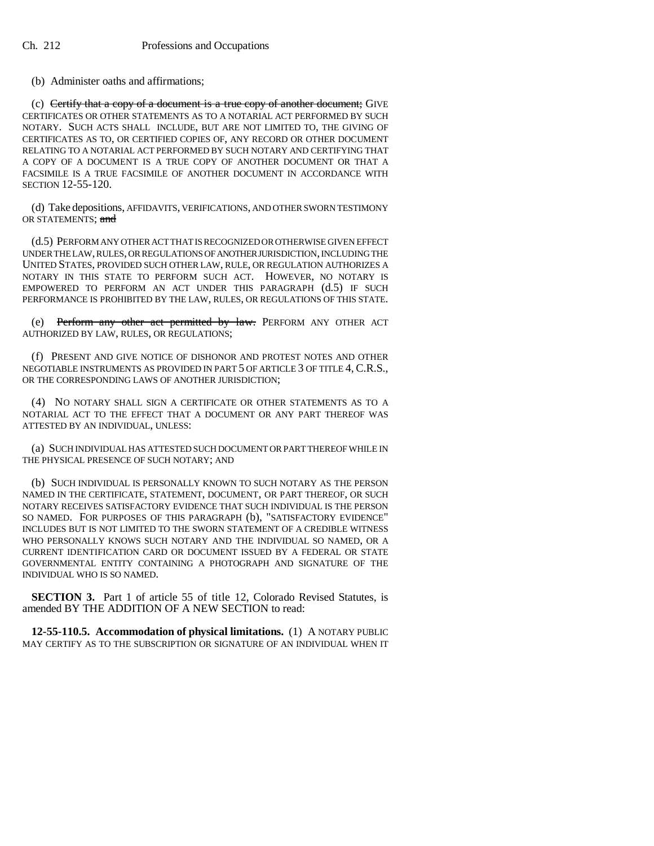## (b) Administer oaths and affirmations;

(c) Certify that a copy of a document is a true copy of another document; GIVE CERTIFICATES OR OTHER STATEMENTS AS TO A NOTARIAL ACT PERFORMED BY SUCH NOTARY. SUCH ACTS SHALL INCLUDE, BUT ARE NOT LIMITED TO, THE GIVING OF CERTIFICATES AS TO, OR CERTIFIED COPIES OF, ANY RECORD OR OTHER DOCUMENT RELATING TO A NOTARIAL ACT PERFORMED BY SUCH NOTARY AND CERTIFYING THAT A COPY OF A DOCUMENT IS A TRUE COPY OF ANOTHER DOCUMENT OR THAT A FACSIMILE IS A TRUE FACSIMILE OF ANOTHER DOCUMENT IN ACCORDANCE WITH SECTION 12-55-120.

(d) Take depositions, AFFIDAVITS, VERIFICATIONS, AND OTHER SWORN TESTIMONY OR STATEMENTS; and

(d.5) PERFORM ANY OTHER ACT THAT IS RECOGNIZED OR OTHERWISE GIVEN EFFECT UNDER THE LAW, RULES, OR REGULATIONS OF ANOTHER JURISDICTION, INCLUDING THE UNITED STATES, PROVIDED SUCH OTHER LAW, RULE, OR REGULATION AUTHORIZES A NOTARY IN THIS STATE TO PERFORM SUCH ACT. HOWEVER, NO NOTARY IS EMPOWERED TO PERFORM AN ACT UNDER THIS PARAGRAPH (d.5) IF SUCH PERFORMANCE IS PROHIBITED BY THE LAW, RULES, OR REGULATIONS OF THIS STATE.

(e) Perform any other act permitted by law. PERFORM ANY OTHER ACT AUTHORIZED BY LAW, RULES, OR REGULATIONS;

(f) PRESENT AND GIVE NOTICE OF DISHONOR AND PROTEST NOTES AND OTHER NEGOTIABLE INSTRUMENTS AS PROVIDED IN PART 5 OF ARTICLE 3 OF TITLE 4, C.R.S., OR THE CORRESPONDING LAWS OF ANOTHER JURISDICTION;

(4) NO NOTARY SHALL SIGN A CERTIFICATE OR OTHER STATEMENTS AS TO A NOTARIAL ACT TO THE EFFECT THAT A DOCUMENT OR ANY PART THEREOF WAS ATTESTED BY AN INDIVIDUAL, UNLESS:

(a) SUCH INDIVIDUAL HAS ATTESTED SUCH DOCUMENT OR PART THEREOF WHILE IN THE PHYSICAL PRESENCE OF SUCH NOTARY; AND

(b) SUCH INDIVIDUAL IS PERSONALLY KNOWN TO SUCH NOTARY AS THE PERSON NAMED IN THE CERTIFICATE, STATEMENT, DOCUMENT, OR PART THEREOF, OR SUCH NOTARY RECEIVES SATISFACTORY EVIDENCE THAT SUCH INDIVIDUAL IS THE PERSON SO NAMED. FOR PURPOSES OF THIS PARAGRAPH (b), "SATISFACTORY EVIDENCE" INCLUDES BUT IS NOT LIMITED TO THE SWORN STATEMENT OF A CREDIBLE WITNESS WHO PERSONALLY KNOWS SUCH NOTARY AND THE INDIVIDUAL SO NAMED, OR A CURRENT IDENTIFICATION CARD OR DOCUMENT ISSUED BY A FEDERAL OR STATE GOVERNMENTAL ENTITY CONTAINING A PHOTOGRAPH AND SIGNATURE OF THE INDIVIDUAL WHO IS SO NAMED.

**SECTION 3.** Part 1 of article 55 of title 12, Colorado Revised Statutes, is amended BY THE ADDITION OF A NEW SECTION to read:

**12-55-110.5. Accommodation of physical limitations.** (1) A NOTARY PUBLIC MAY CERTIFY AS TO THE SUBSCRIPTION OR SIGNATURE OF AN INDIVIDUAL WHEN IT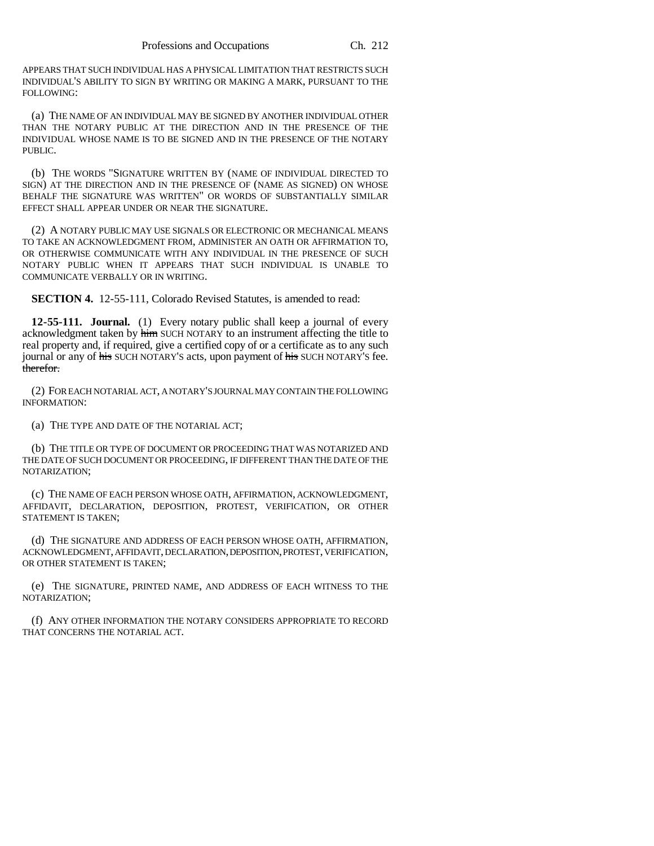APPEARS THAT SUCH INDIVIDUAL HAS A PHYSICAL LIMITATION THAT RESTRICTS SUCH INDIVIDUAL'S ABILITY TO SIGN BY WRITING OR MAKING A MARK, PURSUANT TO THE FOLLOWING:

(a) THE NAME OF AN INDIVIDUAL MAY BE SIGNED BY ANOTHER INDIVIDUAL OTHER THAN THE NOTARY PUBLIC AT THE DIRECTION AND IN THE PRESENCE OF THE INDIVIDUAL WHOSE NAME IS TO BE SIGNED AND IN THE PRESENCE OF THE NOTARY PUBLIC.

(b) THE WORDS "SIGNATURE WRITTEN BY (NAME OF INDIVIDUAL DIRECTED TO SIGN) AT THE DIRECTION AND IN THE PRESENCE OF (NAME AS SIGNED) ON WHOSE BEHALF THE SIGNATURE WAS WRITTEN" OR WORDS OF SUBSTANTIALLY SIMILAR EFFECT SHALL APPEAR UNDER OR NEAR THE SIGNATURE.

(2) A NOTARY PUBLIC MAY USE SIGNALS OR ELECTRONIC OR MECHANICAL MEANS TO TAKE AN ACKNOWLEDGMENT FROM, ADMINISTER AN OATH OR AFFIRMATION TO, OR OTHERWISE COMMUNICATE WITH ANY INDIVIDUAL IN THE PRESENCE OF SUCH NOTARY PUBLIC WHEN IT APPEARS THAT SUCH INDIVIDUAL IS UNABLE TO COMMUNICATE VERBALLY OR IN WRITING.

**SECTION 4.** 12-55-111, Colorado Revised Statutes, is amended to read:

**12-55-111. Journal.** (1) Every notary public shall keep a journal of every acknowledgment taken by him SUCH NOTARY to an instrument affecting the title to real property and, if required, give a certified copy of or a certificate as to any such journal or any of his SUCH NOTARY'S acts, upon payment of his SUCH NOTARY'S fee. therefor.

(2) FOR EACH NOTARIAL ACT, A NOTARY'S JOURNAL MAY CONTAIN THE FOLLOWING INFORMATION:

(a) THE TYPE AND DATE OF THE NOTARIAL ACT;

(b) THE TITLE OR TYPE OF DOCUMENT OR PROCEEDING THAT WAS NOTARIZED AND THE DATE OF SUCH DOCUMENT OR PROCEEDING, IF DIFFERENT THAN THE DATE OF THE NOTARIZATION;

(c) THE NAME OF EACH PERSON WHOSE OATH, AFFIRMATION, ACKNOWLEDGMENT, AFFIDAVIT, DECLARATION, DEPOSITION, PROTEST, VERIFICATION, OR OTHER STATEMENT IS TAKEN;

(d) THE SIGNATURE AND ADDRESS OF EACH PERSON WHOSE OATH, AFFIRMATION, ACKNOWLEDGMENT, AFFIDAVIT, DECLARATION, DEPOSITION, PROTEST, VERIFICATION, OR OTHER STATEMENT IS TAKEN;

(e) THE SIGNATURE, PRINTED NAME, AND ADDRESS OF EACH WITNESS TO THE NOTARIZATION;

(f) ANY OTHER INFORMATION THE NOTARY CONSIDERS APPROPRIATE TO RECORD THAT CONCERNS THE NOTARIAL ACT.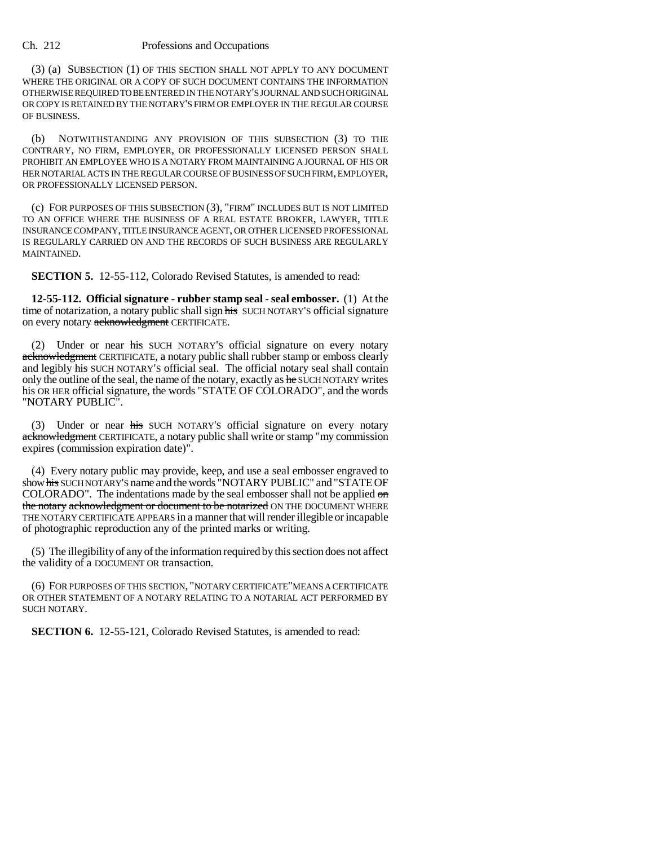Ch. 212 Professions and Occupations

(3) (a) SUBSECTION (1) OF THIS SECTION SHALL NOT APPLY TO ANY DOCUMENT WHERE THE ORIGINAL OR A COPY OF SUCH DOCUMENT CONTAINS THE INFORMATION OTHERWISE REQUIRED TO BE ENTERED IN THE NOTARY'S JOURNAL AND SUCH ORIGINAL OR COPY IS RETAINED BY THE NOTARY'S FIRM OR EMPLOYER IN THE REGULAR COURSE OF BUSINESS.

(b) NOTWITHSTANDING ANY PROVISION OF THIS SUBSECTION (3) TO THE CONTRARY, NO FIRM, EMPLOYER, OR PROFESSIONALLY LICENSED PERSON SHALL PROHIBIT AN EMPLOYEE WHO IS A NOTARY FROM MAINTAINING A JOURNAL OF HIS OR HER NOTARIAL ACTS IN THE REGULAR COURSE OF BUSINESS OF SUCH FIRM, EMPLOYER, OR PROFESSIONALLY LICENSED PERSON.

(c) FOR PURPOSES OF THIS SUBSECTION (3), "FIRM" INCLUDES BUT IS NOT LIMITED TO AN OFFICE WHERE THE BUSINESS OF A REAL ESTATE BROKER, LAWYER, TITLE INSURANCE COMPANY, TITLE INSURANCE AGENT, OR OTHER LICENSED PROFESSIONAL IS REGULARLY CARRIED ON AND THE RECORDS OF SUCH BUSINESS ARE REGULARLY MAINTAINED.

**SECTION 5.** 12-55-112, Colorado Revised Statutes, is amended to read:

**12-55-112. Official signature - rubber stamp seal - seal embosser.** (1) At the time of notarization, a notary public shall sign his SUCH NOTARY'S official signature on every notary acknowledgment CERTIFICATE.

(2) Under or near his SUCH NOTARY'S official signature on every notary acknowledgment CERTIFICATE, a notary public shall rubber stamp or emboss clearly and legibly his SUCH NOTARY'S official seal. The official notary seal shall contain only the outline of the seal, the name of the notary, exactly as he SUCHNOTARY writes his OR HER official signature, the words "STATE OF COLORADO", and the words "NOTARY PUBLIC".

Under or near his SUCH NOTARY's official signature on every notary acknowledgment CERTIFICATE, a notary public shall write or stamp "my commission expires (commission expiration date)".

(4) Every notary public may provide, keep, and use a seal embosser engraved to show his SUCH NOTARY'S name and the words "NOTARY PUBLIC" and "STATE OF COLORADO". The indentations made by the seal embosser shall not be applied on the notary acknowledgment or document to be notarized ON THE DOCUMENT WHERE THE NOTARY CERTIFICATE APPEARS in a manner that will render illegible or incapable of photographic reproduction any of the printed marks or writing.

(5) The illegibility of any of the information required by this section does not affect the validity of a DOCUMENT OR transaction.

(6) FOR PURPOSES OF THIS SECTION, "NOTARY CERTIFICATE"MEANS A CERTIFICATE OR OTHER STATEMENT OF A NOTARY RELATING TO A NOTARIAL ACT PERFORMED BY SUCH NOTARY.

**SECTION 6.** 12-55-121, Colorado Revised Statutes, is amended to read: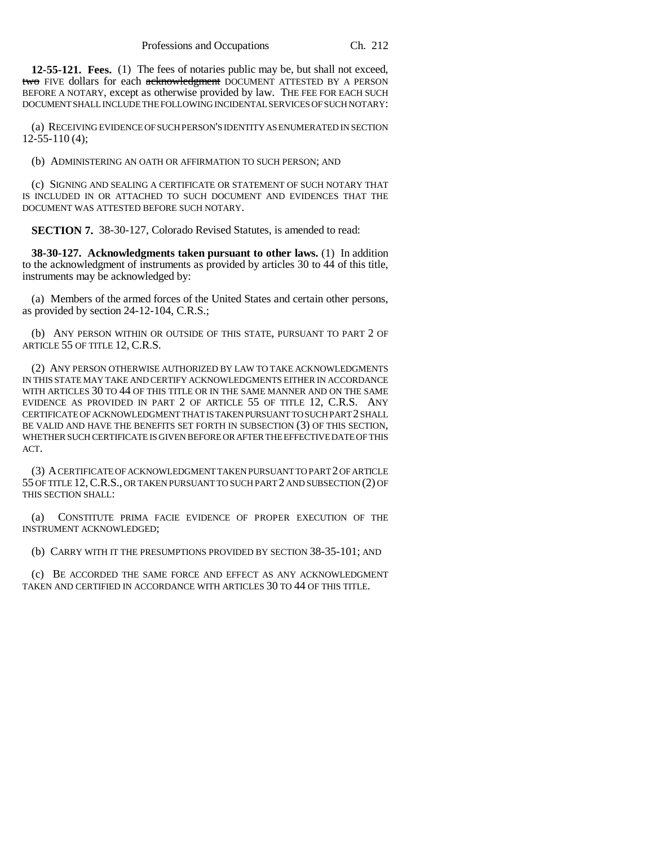**12-55-121. Fees.** (1) The fees of notaries public may be, but shall not exceed, two FIVE dollars for each acknowledgment DOCUMENT ATTESTED BY A PERSON BEFORE A NOTARY, except as otherwise provided by law. THE FEE FOR EACH SUCH DOCUMENT SHALL INCLUDE THE FOLLOWING INCIDENTAL SERVICES OF SUCH NOTARY:

(a) RECEIVING EVIDENCE OF SUCH PERSON'S IDENTITY AS ENUMERATED IN SECTION 12-55-110 (4);

(b) ADMINISTERING AN OATH OR AFFIRMATION TO SUCH PERSON; AND

(c) SIGNING AND SEALING A CERTIFICATE OR STATEMENT OF SUCH NOTARY THAT IS INCLUDED IN OR ATTACHED TO SUCH DOCUMENT AND EVIDENCES THAT THE DOCUMENT WAS ATTESTED BEFORE SUCH NOTARY.

**SECTION 7.** 38-30-127, Colorado Revised Statutes, is amended to read:

**38-30-127. Acknowledgments taken pursuant to other laws.** (1) In addition to the acknowledgment of instruments as provided by articles 30 to 44 of this title, instruments may be acknowledged by:

(a) Members of the armed forces of the United States and certain other persons, as provided by section 24-12-104, C.R.S.;

(b) ANY PERSON WITHIN OR OUTSIDE OF THIS STATE, PURSUANT TO PART 2 OF ARTICLE 55 OF TITLE 12, C.R.S.

(2) ANY PERSON OTHERWISE AUTHORIZED BY LAW TO TAKE ACKNOWLEDGMENTS IN THIS STATE MAY TAKE AND CERTIFY ACKNOWLEDGMENTS EITHER IN ACCORDANCE WITH ARTICLES 30 TO 44 OF THIS TITLE OR IN THE SAME MANNER AND ON THE SAME EVIDENCE AS PROVIDED IN PART 2 OF ARTICLE 55 OF TITLE 12, C.R.S. ANY CERTIFICATE OF ACKNOWLEDGMENT THAT IS TAKEN PURSUANT TO SUCH PART 2 SHALL BE VALID AND HAVE THE BENEFITS SET FORTH IN SUBSECTION (3) OF THIS SECTION, WHETHER SUCH CERTIFICATE IS GIVEN BEFORE OR AFTER THE EFFECTIVE DATE OF THIS ACT.

(3) A CERTIFICATE OF ACKNOWLEDGMENT TAKEN PURSUANT TO PART 2 OF ARTICLE 55 OF TITLE 12,C.R.S., OR TAKEN PURSUANT TO SUCH PART 2 AND SUBSECTION (2) OF THIS SECTION SHALL:

(a) CONSTITUTE PRIMA FACIE EVIDENCE OF PROPER EXECUTION OF THE INSTRUMENT ACKNOWLEDGED;

(b) CARRY WITH IT THE PRESUMPTIONS PROVIDED BY SECTION 38-35-101; AND

(c) BE ACCORDED THE SAME FORCE AND EFFECT AS ANY ACKNOWLEDGMENT TAKEN AND CERTIFIED IN ACCORDANCE WITH ARTICLES 30 TO 44 OF THIS TITLE.